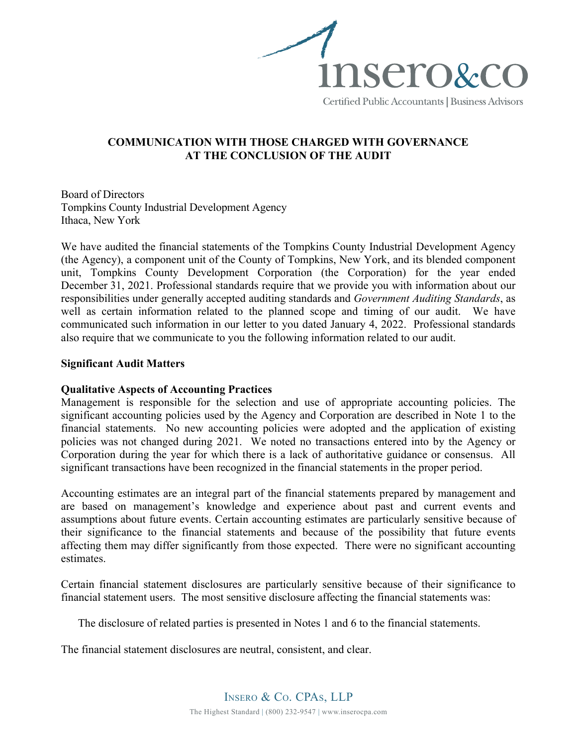

# **COMMUNICATION WITH THOSE CHARGED WITH GOVERNANCE AT THE CONCLUSION OF THE AUDIT**

Board of Directors Tompkins County Industrial Development Agency Ithaca, New York

We have audited the financial statements of the Tompkins County Industrial Development Agency (the Agency), a component unit of the County of Tompkins, New York, and its blended component unit, Tompkins County Development Corporation (the Corporation) for the year ended December 31, 2021. Professional standards require that we provide you with information about our responsibilities under generally accepted auditing standards and *Government Auditing Standards*, as well as certain information related to the planned scope and timing of our audit. We have communicated such information in our letter to you dated January 4, 2022. Professional standards also require that we communicate to you the following information related to our audit.

#### **Significant Audit Matters**

## **Qualitative Aspects of Accounting Practices**

Management is responsible for the selection and use of appropriate accounting policies. The significant accounting policies used by the Agency and Corporation are described in Note 1 to the financial statements. No new accounting policies were adopted and the application of existing policies was not changed during 2021. We noted no transactions entered into by the Agency or Corporation during the year for which there is a lack of authoritative guidance or consensus. All significant transactions have been recognized in the financial statements in the proper period.

Accounting estimates are an integral part of the financial statements prepared by management and are based on management's knowledge and experience about past and current events and assumptions about future events. Certain accounting estimates are particularly sensitive because of their significance to the financial statements and because of the possibility that future events affecting them may differ significantly from those expected. There were no significant accounting estimates.

Certain financial statement disclosures are particularly sensitive because of their significance to financial statement users. The most sensitive disclosure affecting the financial statements was:

The disclosure of related parties is presented in Notes 1 and 6 to the financial statements.

The financial statement disclosures are neutral, consistent, and clear.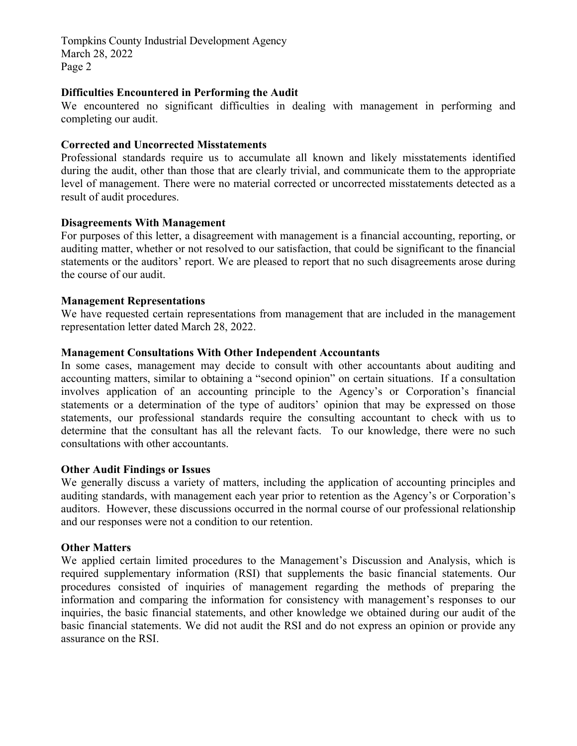Tompkins County Industrial Development Agency March 28, 2022 Page 2

### **Difficulties Encountered in Performing the Audit**

We encountered no significant difficulties in dealing with management in performing and completing our audit.

## **Corrected and Uncorrected Misstatements**

Professional standards require us to accumulate all known and likely misstatements identified during the audit, other than those that are clearly trivial, and communicate them to the appropriate level of management. There were no material corrected or uncorrected misstatements detected as a result of audit procedures.

#### **Disagreements With Management**

For purposes of this letter, a disagreement with management is a financial accounting, reporting, or auditing matter, whether or not resolved to our satisfaction, that could be significant to the financial statements or the auditors' report. We are pleased to report that no such disagreements arose during the course of our audit.

#### **Management Representations**

We have requested certain representations from management that are included in the management representation letter dated March 28, 2022.

## **Management Consultations With Other Independent Accountants**

In some cases, management may decide to consult with other accountants about auditing and accounting matters, similar to obtaining a "second opinion" on certain situations. If a consultation involves application of an accounting principle to the Agency's or Corporation's financial statements or a determination of the type of auditors' opinion that may be expressed on those statements, our professional standards require the consulting accountant to check with us to determine that the consultant has all the relevant facts. To our knowledge, there were no such consultations with other accountants.

#### **Other Audit Findings or Issues**

We generally discuss a variety of matters, including the application of accounting principles and auditing standards, with management each year prior to retention as the Agency's or Corporation's auditors. However, these discussions occurred in the normal course of our professional relationship and our responses were not a condition to our retention.

## **Other Matters**

We applied certain limited procedures to the Management's Discussion and Analysis, which is required supplementary information (RSI) that supplements the basic financial statements. Our procedures consisted of inquiries of management regarding the methods of preparing the information and comparing the information for consistency with management's responses to our inquiries, the basic financial statements, and other knowledge we obtained during our audit of the basic financial statements. We did not audit the RSI and do not express an opinion or provide any assurance on the RSI.